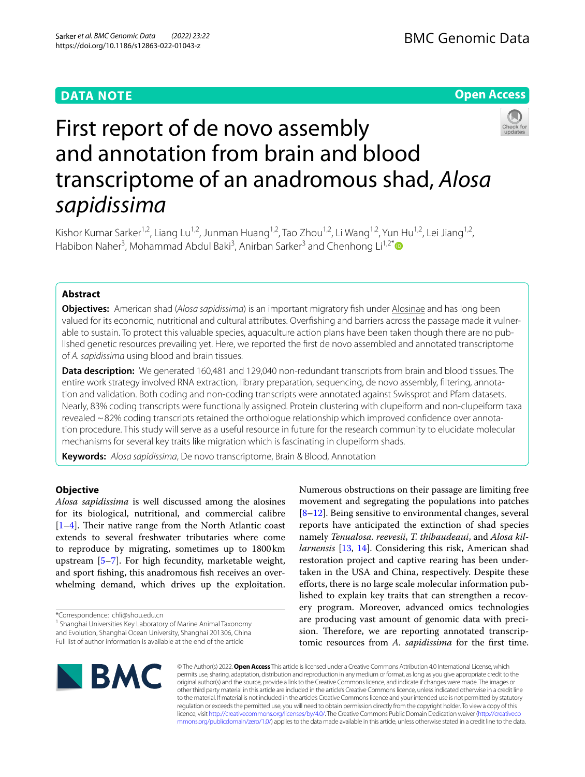# **DATA NOTE**

# **Open Access**



# First report of de novo assembly and annotation from brain and blood transcriptome of an anadromous shad, *Alosa sapidissima*

Kishor Kumar Sarker<sup>1,2</sup>, Liang Lu<sup>1,2</sup>, Junman Huang<sup>1,2</sup>, Tao Zhou<sup>1,2</sup>, Li Wang<sup>1,2</sup>, Yun Hu<sup>1,2</sup>, Lei Jiang<sup>1,2</sup>, Habibon Naher<sup>3</sup>, Mohammad Abdul Baki<sup>3</sup>, Anirban Sarker<sup>3</sup> and Chenhong Li<sup>1,2[\\*](http://orcid.org/0000-0003-3075-1756)</sup>

# **Abstract**

**Objectives:** American shad (*Alosa sapidissima*) is an important migratory fsh under Alosinae and has long been valued for its economic, nutritional and cultural attributes. Overfshing and barriers across the passage made it vulnerable to sustain. To protect this valuable species, aquaculture action plans have been taken though there are no published genetic resources prevailing yet. Here, we reported the frst de novo assembled and annotated transcriptome of *A. sapidissima* using blood and brain tissues.

**Data description:** We generated 160,481 and 129,040 non-redundant transcripts from brain and blood tissues. The entire work strategy involved RNA extraction, library preparation, sequencing, de novo assembly, fltering, annotation and validation. Both coding and non-coding transcripts were annotated against Swissprot and Pfam datasets. Nearly, 83% coding transcripts were functionally assigned. Protein clustering with clupeiform and non-clupeiform taxa revealed ~82% coding transcripts retained the orthologue relationship which improved confdence over annotation procedure. This study will serve as a useful resource in future for the research community to elucidate molecular mechanisms for several key traits like migration which is fascinating in clupeiform shads.

**Keywords:** *Alosa sapidissima*, De novo transcriptome, Brain & Blood, Annotation

# **Objective**

*Alosa sapidissima* is well discussed among the alosines for its biological, nutritional, and commercial calibre  $[1-4]$  $[1-4]$ . Their native range from the North Atlantic coast extends to several freshwater tributaries where come to reproduce by migrating, sometimes up to 1800km upstream [\[5](#page-3-2)[–7](#page-3-3)]. For high fecundity, marketable weight, and sport fshing, this anadromous fsh receives an overwhelming demand, which drives up the exploitation.

Numerous obstructions on their passage are limiting free movement and segregating the populations into patches [[8–](#page-3-4)[12\]](#page-3-5). Being sensitive to environmental changes, several reports have anticipated the extinction of shad species namely *Tenualosa. reevesii*, *T. thibaudeaui*, and *Alosa killarnensis* [\[13,](#page-3-6) [14](#page-3-7)]. Considering this risk, American shad restoration project and captive rearing has been undertaken in the USA and China, respectively. Despite these efforts, there is no large scale molecular information published to explain key traits that can strengthen a recovery program. Moreover, advanced omics technologies are producing vast amount of genomic data with precision. Therefore, we are reporting annotated transcriptomic resources from *A. sapidissima* for the frst time.



© The Author(s) 2022. **Open Access** This article is licensed under a Creative Commons Attribution 4.0 International License, which permits use, sharing, adaptation, distribution and reproduction in any medium or format, as long as you give appropriate credit to the original author(s) and the source, provide a link to the Creative Commons licence, and indicate if changes were made. The images or other third party material in this article are included in the article's Creative Commons licence, unless indicated otherwise in a credit line to the material. If material is not included in the article's Creative Commons licence and your intended use is not permitted by statutory regulation or exceeds the permitted use, you will need to obtain permission directly from the copyright holder. To view a copy of this licence, visit [http://creativecommons.org/licenses/by/4.0/.](http://creativecommons.org/licenses/by/4.0/) The Creative Commons Public Domain Dedication waiver ([http://creativeco](http://creativecommons.org/publicdomain/zero/1.0/) [mmons.org/publicdomain/zero/1.0/](http://creativecommons.org/publicdomain/zero/1.0/)) applies to the data made available in this article, unless otherwise stated in a credit line to the data.

<sup>\*</sup>Correspondence: chli@shou.edu.cn

<sup>&</sup>lt;sup>1</sup> Shanghai Universities Key Laboratory of Marine Animal Taxonomy and Evolution, Shanghai Ocean University, Shanghai 201306, China Full list of author information is available at the end of the article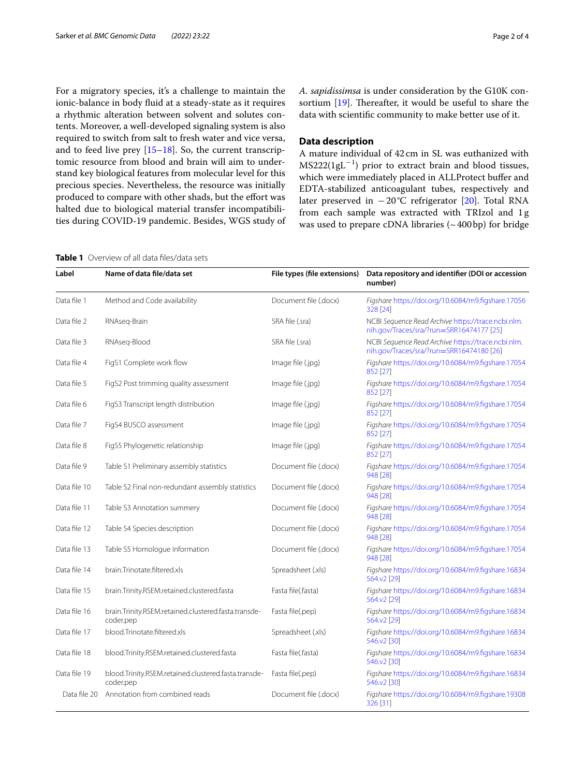For a migratory species, it's a challenge to maintain the ionic-balance in body fuid at a steady-state as it requires a rhythmic alteration between solvent and solutes contents. Moreover, a well-developed signaling system is also required to switch from salt to fresh water and vice versa, and to feed live prey [[15](#page-3-8)[–18](#page-3-9)]. So, the current transcriptomic resource from blood and brain will aim to understand key biological features from molecular level for this precious species. Nevertheless, the resource was initially produced to compare with other shads, but the effort was halted due to biological material transfer incompatibilities during COVID-19 pandemic. Besides, WGS study of *A. sapidissimsa* is under consideration by the G10K consortium  $[19]$  $[19]$  $[19]$ . Thereafter, it would be useful to share the data with scientifc community to make better use of it.

## **Data description**

A mature individual of 42 cm in SL was euthanized with  $MS222(1gL<sup>-1</sup>)$  prior to extract brain and blood tissues, which were immediately placed in ALLProtect buffer and EDTA-stabilized anticoagulant tubes, respectively and later preserved in −20°C refrigerator [[20\]](#page-3-11). Total RNA from each sample was extracted with TRIzol and 1g was used to prepare cDNA libraries  $({\sim}\,400\,\mathrm{bp})$  for bridge

<span id="page-1-0"></span>**Table 1** Overview of all data fles/data sets

| Label        | Name of data file/data set                                        | File types (file extensions) | Data repository and identifier (DOI or accession<br>number)                                    |
|--------------|-------------------------------------------------------------------|------------------------------|------------------------------------------------------------------------------------------------|
| Data file 1  | Method and Code availability                                      | Document file (.docx)        | Figshare https://doi.org/10.6084/m9.figshare.17056<br>328 [24]                                 |
| Data file 2  | RNAseq-Brain                                                      | SRA file (.sra)              | NCBI Sequence Read Archive https://trace.ncbi.nlm.<br>nih.gov/Traces/sra/?run=SRR16474177 [25] |
| Data file 3  | RNAseq-Blood                                                      | SRA file (.sra)              | NCBI Sequence Read Archive https://trace.ncbi.nlm.<br>nih.gov/Traces/sra/?run=SRR16474180 [26] |
| Data file 4  | FigS1 Complete work flow                                          | Image file (.jpg)            | Figshare https://doi.org/10.6084/m9.figshare.17054<br>852 [27]                                 |
| Data file 5  | FigS2 Post trimming quality assessment                            | Image file (.jpg)            | Figshare https://doi.org/10.6084/m9.figshare.17054<br>852 [27]                                 |
| Data file 6  | FigS3 Transcript length distribution                              | Image file (.jpg)            | Figshare https://doi.org/10.6084/m9.figshare.17054<br>852 [27]                                 |
| Data file 7  | FigS4 BUSCO assessment                                            | Image file (.jpg)            | Figshare https://doi.org/10.6084/m9.figshare.17054<br>852 [27]                                 |
| Data file 8  | FigS5 Phylogenetic relationship                                   | Image file (.jpg)            | Figshare https://doi.org/10.6084/m9.figshare.17054<br>852 [27]                                 |
| Data file 9  | Table S1 Preliminary assembly statistics                          | Document file (.docx)        | Figshare https://doi.org/10.6084/m9.figshare.17054<br>948 [28]                                 |
| Data file 10 | Table S2 Final non-redundant assembly statistics                  | Document file (.docx)        | Figshare https://doi.org/10.6084/m9.figshare.17054<br>948 [28]                                 |
| Data file 11 | Table S3 Annotation summery                                       | Document file (.docx)        | Figshare https://doi.org/10.6084/m9.figshare.17054<br>948 [28]                                 |
| Data file 12 | Table S4 Species description                                      | Document file (.docx)        | Figshare https://doi.org/10.6084/m9.figshare.17054<br>948 [28]                                 |
| Data file 13 | Table S5 Homologue information                                    | Document file (.docx)        | Figshare https://doi.org/10.6084/m9.figshare.17054<br>948 [28]                                 |
| Data file 14 | brain.Trinotate.filtered.xls                                      | Spreadsheet (.xls)           | Figshare https://doi.org/10.6084/m9.figshare.16834<br>564.v2 [29]                              |
| Data file 15 | brain.Trinity.RSEM.retained.clustered.fasta                       | Fasta file(.fasta)           | Figshare https://doi.org/10.6084/m9.figshare.16834<br>564.v2 [29]                              |
| Data file 16 | brain.Trinity.RSEM.retained.clustered.fasta.transde-<br>coder.pep | Fasta file(.pep)             | Figshare https://doi.org/10.6084/m9.figshare.16834<br>564.v2 [29]                              |
| Data file 17 | blood.Trinotate.filtered.xls                                      | Spreadsheet (.xls)           | Figshare https://doi.org/10.6084/m9.figshare.16834<br>546.v2 [30]                              |
| Data file 18 | blood.Trinity.RSEM.retained.clustered.fasta                       | Fasta file(.fasta)           | Figshare https://doi.org/10.6084/m9.figshare.16834<br>546.v2 [30]                              |
| Data file 19 | blood.Trinity.RSEM.retained.clustered.fasta.transde-<br>coder.pep | Fasta file(.pep)             | Figshare https://doi.org/10.6084/m9.figshare.16834<br>546.v2 [30]                              |
| Data file 20 | Annotation from combined reads                                    | Document file (.docx)        | Figshare https://doi.org/10.6084/m9.figshare.19308<br>326 [31]                                 |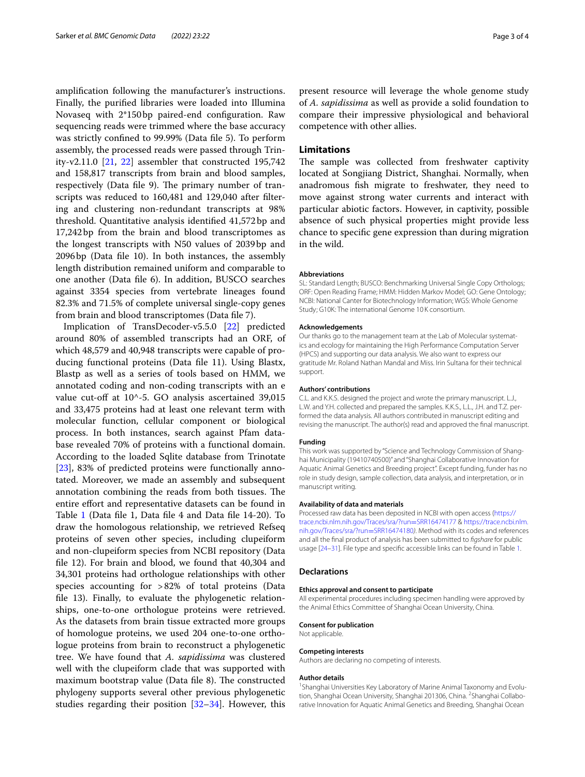amplifcation following the manufacturer's instructions. Finally, the purifed libraries were loaded into Illumina Novaseq with 2\*150bp paired-end confguration. Raw sequencing reads were trimmed where the base accuracy was strictly confned to 99.99% (Data fle 5). To perform assembly, the processed reads were passed through Trinity-v2.11.0  $[21, 22]$  $[21, 22]$  $[21, 22]$  $[21, 22]$  $[21, 22]$  assembler that constructed 195,742 and 158,817 transcripts from brain and blood samples, respectively (Data file 9). The primary number of transcripts was reduced to 160,481 and 129,040 after fltering and clustering non-redundant transcripts at 98% threshold. Quantitative analysis identifed 41,572bp and 17,242bp from the brain and blood transcriptomes as the longest transcripts with N50 values of 2039bp and 2096bp (Data fle 10). In both instances, the assembly length distribution remained uniform and comparable to one another (Data fle 6). In addition, BUSCO searches against 3354 species from vertebrate lineages found 82.3% and 71.5% of complete universal single-copy genes from brain and blood transcriptomes (Data fle 7).

Implication of TransDecoder-v5.5.0 [\[22\]](#page-3-21) predicted around 80% of assembled transcripts had an ORF, of which 48,579 and 40,948 transcripts were capable of producing functional proteins (Data fle 11). Using Blastx, Blastp as well as a series of tools based on HMM, we annotated coding and non-coding transcripts with an e value cut-off at  $10^{\wedge}$ -5. GO analysis ascertained 39,015 and 33,475 proteins had at least one relevant term with molecular function, cellular component or biological process. In both instances, search against Pfam database revealed 70% of proteins with a functional domain. According to the loaded Sqlite database from Trinotate [[23\]](#page-3-22), 83% of predicted proteins were functionally annotated. Moreover, we made an assembly and subsequent annotation combining the reads from both tissues. The entire efort and representative datasets can be found in Table [1](#page-1-0) (Data fle 1, Data fle 4 and Data fle 14-20). To draw the homologous relationship, we retrieved Refseq proteins of seven other species, including clupeiform and non-clupeiform species from NCBI repository (Data fle 12). For brain and blood, we found that 40,304 and 34,301 proteins had orthologue relationships with other species accounting for >82% of total proteins (Data fle 13). Finally, to evaluate the phylogenetic relationships, one-to-one orthologue proteins were retrieved. As the datasets from brain tissue extracted more groups of homologue proteins, we used 204 one-to-one orthologue proteins from brain to reconstruct a phylogenetic tree. We have found that *A. sapidissima* was clustered well with the clupeiform clade that was supported with maximum bootstrap value (Data file 8). The constructed phylogeny supports several other previous phylogenetic studies regarding their position  $[32-34]$  $[32-34]$ . However, this present resource will leverage the whole genome study of *A. sapidissima* as well as provide a solid foundation to compare their impressive physiological and behavioral competence with other allies.

## **Limitations**

The sample was collected from freshwater captivity located at Songjiang District, Shanghai. Normally, when anadromous fsh migrate to freshwater, they need to move against strong water currents and interact with particular abiotic factors. However, in captivity, possible absence of such physical properties might provide less chance to specifc gene expression than during migration in the wild.

#### **Abbreviations**

SL: Standard Length; BUSCO: Benchmarking Universal Single Copy Orthologs; ORF: Open Reading Frame; HMM: Hidden Markov Model; GO: Gene Ontology; NCBI: National Canter for Biotechnology Information; WGS: Whole Genome Study; G10K: The international Genome 10 K consortium.

#### **Acknowledgements**

Our thanks go to the management team at the Lab of Molecular systematics and ecology for maintaining the High Performance Computation Server (HPCS) and supporting our data analysis. We also want to express our gratitude Mr. Roland Nathan Mandal and Miss. Irin Sultana for their technical support.

#### **Authors' contributions**

C.L. and K.K.S. designed the project and wrote the primary manuscript. L.J., L.W. and Y.H. collected and prepared the samples. K.K.S., L.L., J.H. and T.Z. performed the data analysis. All authors contributed in manuscript editing and revising the manuscript. The author(s) read and approved the fnal manuscript.

#### **Funding**

This work was supported by "Science and Technology Commission of Shanghai Municipality (19410740500)" and "Shanghai Collaborative Innovation for Aquatic Animal Genetics and Breeding project". Except funding, funder has no role in study design, sample collection, data analysis, and interpretation, or in manuscript writing.

#### **Availability of data and materials**

Processed raw data has been deposited in NCBI with open access [\(https://](https://trace.ncbi.nlm.nih.gov/Traces/sra/?run=SRR16474177) [trace.ncbi.nlm.nih.gov/Traces/sra/?run](https://trace.ncbi.nlm.nih.gov/Traces/sra/?run=SRR16474177)=SRR16474177 & [https://trace.ncbi.nlm.](https://trace.ncbi.nlm.nih.gov/Traces/sra/?run=SRR16474180) [nih.gov/Traces/sra/?run](https://trace.ncbi.nlm.nih.gov/Traces/sra/?run=SRR16474180)=SRR16474180*)*. Method with its codes and references and all the fnal product of analysis has been submitted to *fgshare* for public usage [\[24–](#page-3-12)[31\]](#page-3-19). File type and specifc accessible links can be found in Table [1.](#page-1-0)

#### **Declarations**

#### **Ethics approval and consent to participate**

All experimental procedures including specimen handling were approved by the Animal Ethics Committee of Shanghai Ocean University, China.

#### **Consent for publication**

Not applicable.

#### **Competing interests**

Authors are declaring no competing of interests.

#### **Author details**

<sup>1</sup> Shanghai Universities Key Laboratory of Marine Animal Taxonomy and Evolution, Shanghai Ocean University, Shanghai 201306, China. <sup>2</sup>Shanghai Collaborative Innovation for Aquatic Animal Genetics and Breeding, Shanghai Ocean